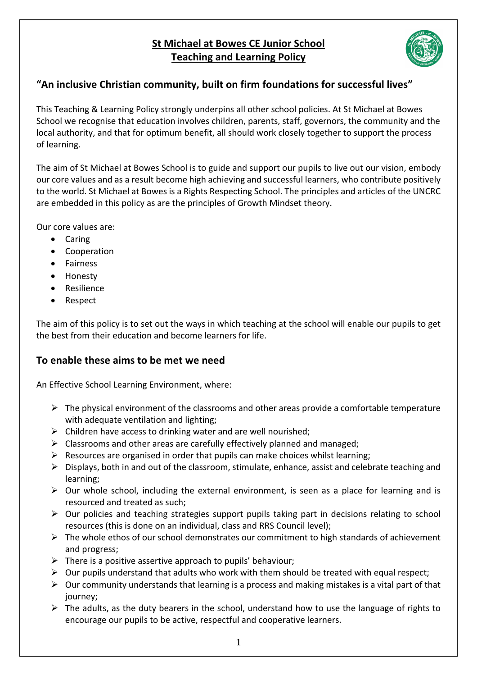# **St Michael at Bowes CE Junior School Teaching and Learning Policy**



# **"An inclusive Christian community, built on firm foundations for successful lives"**

This Teaching & Learning Policy strongly underpins all other school policies. At St Michael at Bowes School we recognise that education involves children, parents, staff, governors, the community and the local authority, and that for optimum benefit, all should work closely together to support the process of learning.

The aim of St Michael at Bowes School is to guide and support our pupils to live out our vision, embody our core values and as a result become high achieving and successful learners, who contribute positively to the world. St Michael at Bowes is a Rights Respecting School. The principles and articles of the UNCRC are embedded in this policy as are the principles of Growth Mindset theory.

Our core values are:

- Caring
- Cooperation
- Fairness
- Honesty
- Resilience
- Respect

The aim of this policy is to set out the ways in which teaching at the school will enable our pupils to get the best from their education and become learners for life.

#### **To enable these aims to be met we need**

An Effective School Learning Environment, where:

- $\triangleright$  The physical environment of the classrooms and other areas provide a comfortable temperature with adequate ventilation and lighting;
- $\triangleright$  Children have access to drinking water and are well nourished;
- $\triangleright$  Classrooms and other areas are carefully effectively planned and managed;
- $\triangleright$  Resources are organised in order that pupils can make choices whilst learning;
- $\triangleright$  Displays, both in and out of the classroom, stimulate, enhance, assist and celebrate teaching and learning;
- $\triangleright$  Our whole school, including the external environment, is seen as a place for learning and is resourced and treated as such;
- $\triangleright$  Our policies and teaching strategies support pupils taking part in decisions relating to school resources (this is done on an individual, class and RRS Council level);
- $\triangleright$  The whole ethos of our school demonstrates our commitment to high standards of achievement and progress;
- $\triangleright$  There is a positive assertive approach to pupils' behaviour;
- $\triangleright$  Our pupils understand that adults who work with them should be treated with equal respect;
- $\triangleright$  Our community understands that learning is a process and making mistakes is a vital part of that journey;
- $\triangleright$  The adults, as the duty bearers in the school, understand how to use the language of rights to encourage our pupils to be active, respectful and cooperative learners.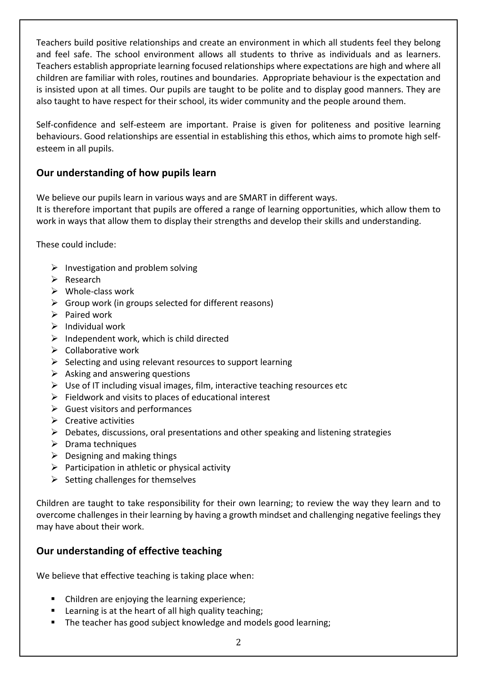Teachers build positive relationships and create an environment in which all students feel they belong and feel safe. The school environment allows all students to thrive as individuals and as learners. Teachers establish appropriate learning focused relationships where expectations are high and where all children are familiar with roles, routines and boundaries. Appropriate behaviour is the expectation and is insisted upon at all times. Our pupils are taught to be polite and to display good manners. They are also taught to have respect for their school, its wider community and the people around them.

Self-confidence and self-esteem are important. Praise is given for politeness and positive learning behaviours. Good relationships are essential in establishing this ethos, which aims to promote high selfesteem in all pupils.

## **Our understanding of how pupils learn**

We believe our pupils learn in various ways and are SMART in different ways.

It is therefore important that pupils are offered a range of learning opportunities, which allow them to work in ways that allow them to display their strengths and develop their skills and understanding.

These could include:

- $\triangleright$  Investigation and problem solving
- Ø Research
- $\triangleright$  Whole-class work
- $\triangleright$  Group work (in groups selected for different reasons)
- $\triangleright$  Paired work
- $\triangleright$  Individual work
- $\triangleright$  Independent work, which is child directed
- $\triangleright$  Collaborative work
- $\triangleright$  Selecting and using relevant resources to support learning
- $\triangleright$  Asking and answering questions
- $\triangleright$  Use of IT including visual images, film, interactive teaching resources etc
- $\triangleright$  Fieldwork and visits to places of educational interest
- $\triangleright$  Guest visitors and performances
- $\triangleright$  Creative activities
- $\triangleright$  Debates, discussions, oral presentations and other speaking and listening strategies
- $\triangleright$  Drama techniques
- $\triangleright$  Designing and making things
- $\triangleright$  Participation in athletic or physical activity
- $\triangleright$  Setting challenges for themselves

Children are taught to take responsibility for their own learning; to review the way they learn and to overcome challenges in their learning by having a growth mindset and challenging negative feelings they may have about their work.

## **Our understanding of effective teaching**

We believe that effective teaching is taking place when:

- Children are enjoying the learning experience;
- Learning is at the heart of all high quality teaching;
- The teacher has good subject knowledge and models good learning;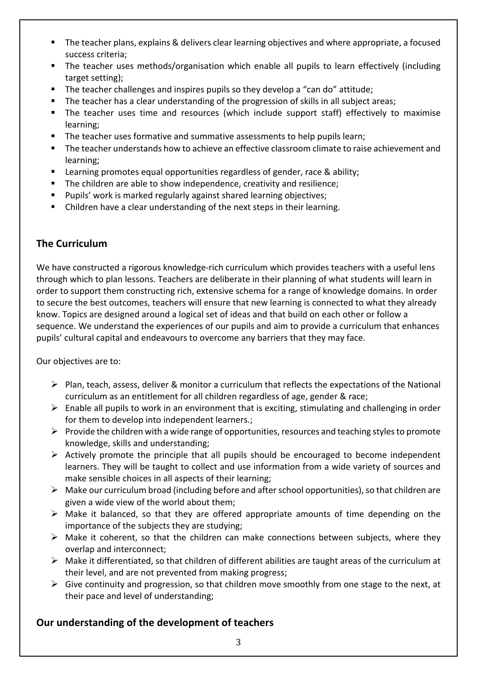- The teacher plans, explains & delivers clear learning objectives and where appropriate, a focused success criteria;
- The teacher uses methods/organisation which enable all pupils to learn effectively (including target setting);
- § The teacher challenges and inspires pupils so they develop a "can do" attitude;
- **•** The teacher has a clear understanding of the progression of skills in all subject areas;
- The teacher uses time and resources (which include support staff) effectively to maximise learning;
- The teacher uses formative and summative assessments to help pupils learn;
- The teacher understands how to achieve an effective classroom climate to raise achievement and learning;
- **EXECT** Learning promotes equal opportunities regardless of gender, race & ability;
- The children are able to show independence, creativity and resilience;
- Pupils' work is marked regularly against shared learning objectives;
- Children have a clear understanding of the next steps in their learning.

## **The Curriculum**

We have constructed a rigorous knowledge-rich curriculum which provides teachers with a useful lens through which to plan lessons. Teachers are deliberate in their planning of what students will learn in order to support them constructing rich, extensive schema for a range of knowledge domains. In order to secure the best outcomes, teachers will ensure that new learning is connected to what they already know. Topics are designed around a logical set of ideas and that build on each other or follow a sequence. We understand the experiences of our pupils and aim to provide a curriculum that enhances pupils' cultural capital and endeavours to overcome any barriers that they may face.

Our objectives are to:

- $\triangleright$  Plan, teach, assess, deliver & monitor a curriculum that reflects the expectations of the National curriculum as an entitlement for all children regardless of age, gender & race;
- $\triangleright$  Enable all pupils to work in an environment that is exciting, stimulating and challenging in order for them to develop into independent learners.;
- $\triangleright$  Provide the children with a wide range of opportunities, resources and teaching styles to promote knowledge, skills and understanding;
- $\triangleright$  Actively promote the principle that all pupils should be encouraged to become independent learners. They will be taught to collect and use information from a wide variety of sources and make sensible choices in all aspects of their learning;
- Ø Make our curriculum broad (including before and after school opportunities), so that children are given a wide view of the world about them;
- $\triangleright$  Make it balanced, so that they are offered appropriate amounts of time depending on the importance of the subjects they are studying;
- $\triangleright$  Make it coherent, so that the children can make connections between subjects, where they overlap and interconnect;
- $\triangleright$  Make it differentiated, so that children of different abilities are taught areas of the curriculum at their level, and are not prevented from making progress;
- $\triangleright$  Give continuity and progression, so that children move smoothly from one stage to the next, at their pace and level of understanding;

## **Our understanding of the development of teachers**